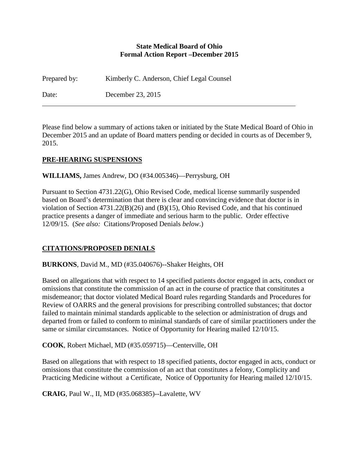#### **State Medical Board of Ohio Formal Action Report –December 2015**

Prepared by: Kimberly C. Anderson, Chief Legal Counsel Date: December 23, 2015

Please find below a summary of actions taken or initiated by the State Medical Board of Ohio in December 2015 and an update of Board matters pending or decided in courts as of December 9, 2015.

## **PRE-HEARING SUSPENSIONS**

**WILLIAMS,** James Andrew, DO (#34.005346)—Perrysburg, OH

Pursuant to Section 4731.22(G), Ohio Revised Code, medical license summarily suspended based on Board's determination that there is clear and convincing evidence that doctor is in violation of Section 4731.22(B)(26) and (B)(15), Ohio Revised Code, and that his continued practice presents a danger of immediate and serious harm to the public. Order effective 12/09/15. (*See also:* Citations/Proposed Denials *below*.)

# **CITATIONS/PROPOSED DENIALS**

**BURKONS**, David M., MD (#35.040676)--Shaker Heights, OH

Based on allegations that with respect to 14 specified patients doctor engaged in acts, conduct or omissions that constitute the commission of an act in the course of practice that consititutes a misdemeanor; that doctor violated Medical Board rules regarding Standards and Procedures for Review of OARRS and the general provisions for prescribing controlled substances; that doctor failed to maintain minimal standards applicable to the selection or administration of drugs and departed from or failed to conform to minimal standards of care of similar practitioners under the same or similar circumstances. Notice of Opportunity for Hearing mailed 12/10/15.

**COOK**, Robert Michael, MD (#35.059715)—Centerville, OH

Based on allegations that with respect to 18 specified patients, doctor engaged in acts, conduct or omissions that constitute the commission of an act that constitutes a felony, Complicity and Practicing Medicine without a Certificate, Notice of Opportunity for Hearing mailed 12/10/15.

**CRAIG**, Paul W., II, MD (#35.068385)--Lavalette, WV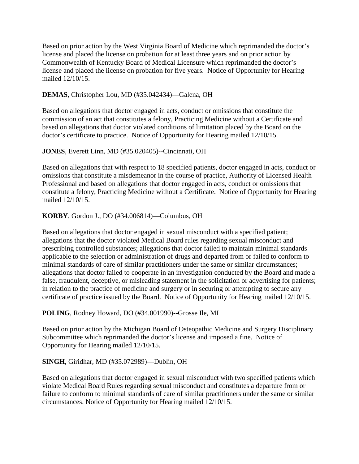Based on prior action by the West Virginia Board of Medicine which reprimanded the doctor's license and placed the license on probation for at least three years and on prior action by Commonwealth of Kentucky Board of Medical Licensure which reprimanded the doctor's license and placed the license on probation for five years. Notice of Opportunity for Hearing mailed 12/10/15.

#### **DEMAS**, Christopher Lou, MD (#35.042434)—Galena, OH

Based on allegations that doctor engaged in acts, conduct or omissions that constitute the commission of an act that constitutes a felony, Practicing Medicine without a Certificate and based on allegations that doctor violated conditions of limitation placed by the Board on the doctor's certificate to practice. Notice of Opportunity for Hearing mailed 12/10/15.

#### **JONES**, Everett Linn, MD (#35.020405)--Cincinnati, OH

Based on allegations that with respect to 18 specified patients, doctor engaged in acts, conduct or omissions that constitute a misdemeanor in the course of practice, Authority of Licensed Health Professional and based on allegations that doctor engaged in acts, conduct or omissions that constitute a felony, Practicing Medicine without a Certificate. Notice of Opportunity for Hearing mailed 12/10/15.

## **KORBY**, Gordon J., DO (#34.006814)—Columbus, OH

Based on allegations that doctor engaged in sexual misconduct with a specified patient; allegations that the doctor violated Medical Board rules regarding sexual misconduct and prescribing controlled substances; allegations that doctor failed to maintain minimal standards applicable to the selection or administration of drugs and departed from or failed to conform to minimal standards of care of similar practitioners under the same or similar circumstances; allegations that doctor failed to cooperate in an investigation conducted by the Board and made a false, fraudulent, deceptive, or misleading statement in the solicitation or advertising for patients; in relation to the practice of medicine and surgery or in securing or attempting to secure any certificate of practice issued by the Board. Notice of Opportunity for Hearing mailed 12/10/15.

#### **POLING**, Rodney Howard, DO (#34.001990)--Grosse Ile, MI

Based on prior action by the Michigan Board of Osteopathic Medicine and Surgery Disciplinary Subcommittee which reprimanded the doctor's license and imposed a fine. Notice of Opportunity for Hearing mailed 12/10/15.

## **SINGH**, Giridhar, MD (#35.072989)—Dublin, OH

Based on allegations that doctor engaged in sexual misconduct with two specified patients which violate Medical Board Rules regarding sexual misconduct and constitutes a departure from or failure to conform to minimal standards of care of similar practitioners under the same or similar circumstances. Notice of Opportunity for Hearing mailed 12/10/15.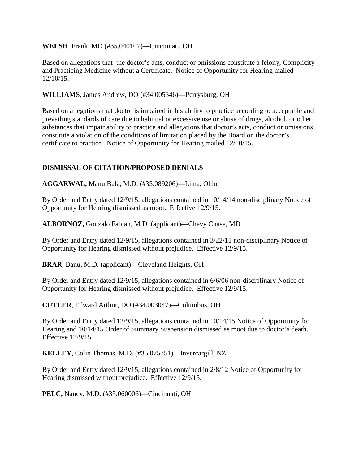**WELSH**, Frank, MD (#35.040107)—Cincinnati, OH

Based on allegations that the doctor's acts, conduct or omissions constitute a felony, Complicity and Practicing Medicine without a Certificate. Notice of Opportunity for Hearing mailed 12/10/15.

**WILLIAMS**, James Andrew, DO (#34.005346)—Perrysburg, OH

Based on allegations that doctor is impaired in his ability to practice according to acceptable and prevailing standards of care due to habitual or excessive use or abuse of drugs, alcohol, or other substances that impair ability to practice and allegations that doctor's acts, conduct or omissions constitute a violation of the conditions of limitation placed by the Board on the doctor's certificate to practice. Notice of Opportunity for Hearing mailed 12/10/15.

## **DISMISSAL OF CITATION/PROPOSED DENIALS**

**AGGARWAL,** Manu Bala, M.D. (#35.089206)—Lima, Ohio

By Order and Entry dated 12/9/15, allegations contained in 10/14/14 non-disciplinary Notice of Opportunity for Hearing dismissed as moot. Effective 12/9/15.

**ALBORNOZ,** Gonzalo Fabian, M.D. (applicant)—Chevy Chase, MD

By Order and Entry dated 12/9/15, allegations contained in 3/22/11 non-disciplinary Notice of Opportunity for Hearing dismissed without prejudice. Effective 12/9/15.

**BRAR**, Banu, M.D. (applicant)—Cleveland Heights, OH

By Order and Entry dated 12/9/15, allegations contained in 6/6/06 non-disciplinary Notice of Opportunity for Hearing dismissed without prejudice. Effective 12/9/15.

**CUTLER**, Edward Arthur, DO (#34.003047)—Columbus, OH

By Order and Entry dated 12/9/15, allegations contained in 10/14/15 Notice of Opportunity for Hearing and 10/14/15 Order of Summary Suspension dismissed as moot due to doctor's death. Effective 12/9/15.

**KELLEY**, Colin Thomas, M.D. (#35.075751)—Invercargill, NZ

By Order and Entry dated 12/9/15, allegations contained in 2/8/12 Notice of Opportunity for Hearing dismissed without prejudice. Effective 12/9/15.

**PELC,** Nancy, M.D. (#35.060006)—Cincinnati, OH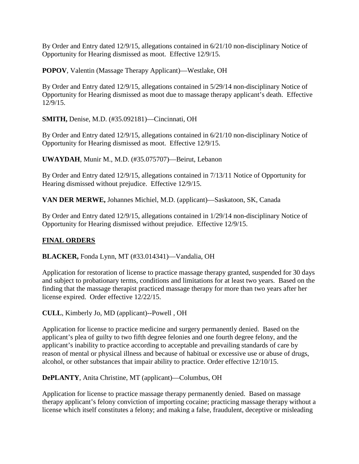By Order and Entry dated 12/9/15, allegations contained in 6/21/10 non-disciplinary Notice of Opportunity for Hearing dismissed as moot. Effective 12/9/15.

**POPOV**, Valentin (Massage Therapy Applicant)—Westlake, OH

By Order and Entry dated 12/9/15, allegations contained in 5/29/14 non-disciplinary Notice of Opportunity for Hearing dismissed as moot due to massage therapy applicant's death. Effective 12/9/15.

**SMITH,** Denise, M.D. (#35.092181)—Cincinnati, OH

By Order and Entry dated 12/9/15, allegations contained in 6/21/10 non-disciplinary Notice of Opportunity for Hearing dismissed as moot. Effective 12/9/15.

**UWAYDAH**, Munir M., M.D. (#35.075707)—Beirut, Lebanon

By Order and Entry dated 12/9/15, allegations contained in 7/13/11 Notice of Opportunity for Hearing dismissed without prejudice. Effective 12/9/15.

**VAN DER MERWE,** Johannes Michiel, M.D. (applicant)—Saskatoon, SK, Canada

By Order and Entry dated 12/9/15, allegations contained in 1/29/14 non-disciplinary Notice of Opportunity for Hearing dismissed without prejudice. Effective 12/9/15.

## **FINAL ORDERS**

**BLACKER,** Fonda Lynn, MT (#33.014341)—Vandalia, OH

Application for restoration of license to practice massage therapy granted, suspended for 30 days and subject to probationary terms, conditions and limitations for at least two years. Based on the finding that the massage therapist practiced massage therapy for more than two years after her license expired. Order effective 12/22/15.

**CULL**, Kimberly Jo, MD (applicant)--Powell , OH

Application for license to practice medicine and surgery permanently denied. Based on the applicant's plea of guilty to two fifth degree felonies and one fourth degree felony, and the applicant's inability to practice according to acceptable and prevailing standards of care by reason of mental or physical illness and because of habitual or excessive use or abuse of drugs, alcohol, or other substances that impair ability to practice. Order effective 12/10/15.

**DePLANTY**, Anita Christine, MT (applicant)—Columbus, OH

Application for license to practice massage therapy permanently denied. Based on massage therapy applicant's felony conviction of importing cocaine; practicing massage therapy without a license which itself constitutes a felony; and making a false, fraudulent, deceptive or misleading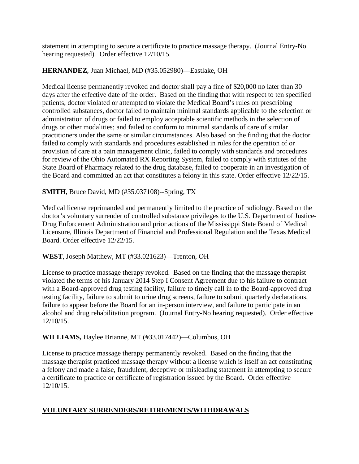statement in attempting to secure a certificate to practice massage therapy. (Journal Entry-No hearing requested). Order effective 12/10/15.

## **HERNANDEZ**, Juan Michael, MD (#35.052980)—Eastlake, OH

Medical license permanently revoked and doctor shall pay a fine of \$20,000 no later than 30 days after the effective date of the order. Based on the finding that with respect to ten specified patients, doctor violated or attempted to violate the Medical Board's rules on prescribing controlled substances, doctor failed to maintain minimal standards applicable to the selection or administration of drugs or failed to employ acceptable scientific methods in the selection of drugs or other modalities; and failed to conform to minimal standards of care of similar practitioners under the same or similar circumstances. Also based on the finding that the doctor failed to comply with standards and procedures established in rules for the operation of or provision of care at a pain management clinic, failed to comply with standards and procedures for review of the Ohio Automated RX Reporting System, failed to comply with statutes of the State Board of Pharmacy related to the drug database, failed to cooperate in an investigation of the Board and committed an act that constitutes a felony in this state. Order effective 12/22/15.

# **SMITH**, Bruce David, MD (#35.037108)--Spring, TX

Medical license reprimanded and permanently limited to the practice of radiology. Based on the doctor's voluntary surrender of controlled substance privileges to the U.S. Department of Justice-Drug Enforcement Administration and prior actions of the Mississippi State Board of Medical Licensure, Illinois Department of Financial and Professional Regulation and the Texas Medical Board. Order effective 12/22/15.

## **WEST**, Joseph Matthew, MT (#33.021623)—Trenton, OH

License to practice massage therapy revoked. Based on the finding that the massage therapist violated the terms of his January 2014 Step I Consent Agreement due to his failure to contract with a Board-approved drug testing facility, failure to timely call in to the Board-approved drug testing facility, failure to submit to urine drug screens, failure to submit quarterly declarations, failure to appear before the Board for an in-person interview, and failure to participate in an alcohol and drug rehabilitation program. (Journal Entry-No hearing requested). Order effective 12/10/15.

## **WILLIAMS,** Haylee Brianne, MT (#33.017442)—Columbus, OH

License to practice massage therapy permanently revoked. Based on the finding that the massage therapist practiced massage therapy without a license which is itself an act constituting a felony and made a false, fraudulent, deceptive or misleading statement in attempting to secure a certificate to practice or certificate of registration issued by the Board. Order effective 12/10/15.

# **VOLUNTARY SURRENDERS/RETIREMENTS/WITHDRAWALS**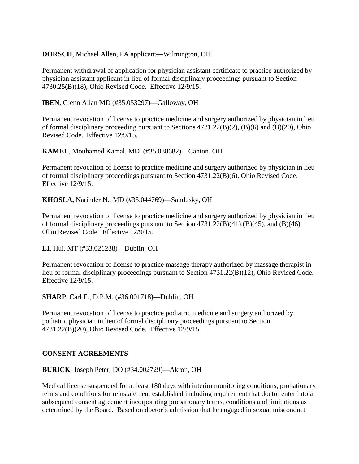#### **DORSCH**, Michael Allen, PA applicant—Wilmington, OH

Permanent withdrawal of application for physician assistant certificate to practice authorized by physician assistant applicant in lieu of formal disciplinary proceedings pursuant to Section 4730.25(B)(18), Ohio Revised Code. Effective 12/9/15.

**IBEN**, Glenn Allan MD (#35.053297)—Galloway, OH

Permanent revocation of license to practice medicine and surgery authorized by physician in lieu of formal disciplinary proceeding pursuant to Sections 4731.22(B)(2), (B)(6) and (B)(20), Ohio Revised Code. Effective 12/9/15.

**KAMEL**, Mouhamed Kamal, MD (#35.038682)—Canton, OH

Permanent revocation of license to practice medicine and surgery authorized by physician in lieu of formal disciplinary proceedings pursuant to Section 4731.22(B)(6), Ohio Revised Code. Effective 12/9/15.

**KHOSLA,** Narinder N., MD (#35.044769)—Sandusky, OH

Permanent revocation of license to practice medicine and surgery authorized by physician in lieu of formal disciplinary proceedings pursuant to Section 4731.22(B)(41),(B)(45), and (B)(46), Ohio Revised Code. Effective 12/9/15.

**LI**, Hui, MT (#33.021238)—Dublin, OH

Permanent revocation of license to practice massage therapy authorized by massage therapist in lieu of formal disciplinary proceedings pursuant to Section 4731.22(B)(12), Ohio Revised Code. Effective 12/9/15.

**SHARP**, Carl E., D.P.M. (#36.001718)—Dublin, OH

Permanent revocation of license to practice podiatric medicine and surgery authorized by podiatric physician in lieu of formal disciplinary proceedings pursuant to Section 4731.22(B)(20), Ohio Revised Code. Effective 12/9/15.

#### **CONSENT AGREEMENTS**

**BURICK**, Joseph Peter, DO (#34.002729)—Akron, OH

Medical license suspended for at least 180 days with interim monitoring conditions, probationary terms and conditions for reinstatement established including requirement that doctor enter into a subsequent consent agreement incorporating probationary terms, conditions and limitations as determined by the Board. Based on doctor's admission that he engaged in sexual misconduct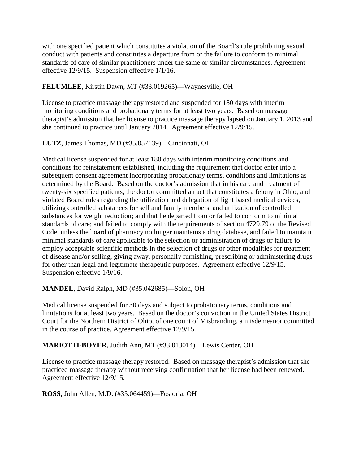with one specified patient which constitutes a violation of the Board's rule prohibiting sexual conduct with patients and constitutes a departure from or the failure to conform to minimal standards of care of similar practitioners under the same or similar circumstances. Agreement effective 12/9/15. Suspension effective 1/1/16.

## **FELUMLEE**, Kirstin Dawn, MT (#33.019265)—Waynesville, OH

License to practice massage therapy restored and suspended for 180 days with interim monitoring conditions and probationary terms for at least two years. Based on massage therapist's admission that her license to practice massage therapy lapsed on January 1, 2013 and she continued to practice until January 2014. Agreement effective 12/9/15.

## **LUTZ**, James Thomas, MD (#35.057139)—Cincinnati, OH

Medical license suspended for at least 180 days with interim monitoring conditions and conditions for reinstatement established, including the requirement that doctor enter into a subsequent consent agreement incorporating probationary terms, conditions and limitations as determined by the Board. Based on the doctor's admission that in his care and treatment of twenty-six specified patients, the doctor committed an act that constitutes a felony in Ohio, and violated Board rules regarding the utilization and delegation of light based medical devices, utilizing controlled substances for self and family members, and utilization of controlled substances for weight reduction; and that he departed from or failed to conform to minimal standards of care; and failed to comply with the requirements of section 4729.79 of the Revised Code, unless the board of pharmacy no longer maintains a drug database, and failed to maintain minimal standards of care applicable to the selection or administration of drugs or failure to employ acceptable scientific methods in the selection of drugs or other modalities for treatment of disease and/or selling, giving away, personally furnishing, prescribing or administering drugs for other than legal and legitimate therapeutic purposes. Agreement effective 12/9/15. Suspension effective 1/9/16.

## **MANDEL**, David Ralph, MD (#35.042685)—Solon, OH

Medical license suspended for 30 days and subject to probationary terms, conditions and limitations for at least two years. Based on the doctor's conviction in the United States District Court for the Northern District of Ohio, of one count of Misbranding, a misdemeanor committed in the course of practice. Agreement effective 12/9/15.

## **MARIOTTI-BOYER**, Judith Ann, MT (#33.013014)—Lewis Center, OH

License to practice massage therapy restored. Based on massage therapist's admission that she practiced massage therapy without receiving confirmation that her license had been renewed. Agreement effective 12/9/15.

**ROSS,** John Allen, M.D. (#35.064459)—Fostoria, OH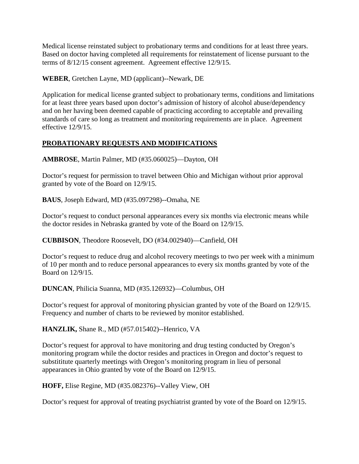Medical license reinstated subject to probationary terms and conditions for at least three years. Based on doctor having completed all requirements for reinstatement of license pursuant to the terms of 8/12/15 consent agreement. Agreement effective 12/9/15.

**WEBER**, Gretchen Layne, MD (applicant)--Newark, DE

Application for medical license granted subject to probationary terms, conditions and limitations for at least three years based upon doctor's admission of history of alcohol abuse/dependency and on her having been deemed capable of practicing according to acceptable and prevailing standards of care so long as treatment and monitoring requirements are in place. Agreement effective 12/9/15.

# **PROBATIONARY REQUESTS AND MODIFICATIONS**

**AMBROSE**, Martin Palmer, MD (#35.060025)—Dayton, OH

Doctor's request for permission to travel between Ohio and Michigan without prior approval granted by vote of the Board on 12/9/15.

**BAUS**, Joseph Edward, MD (#35.097298)--Omaha, NE

Doctor's request to conduct personal appearances every six months via electronic means while the doctor resides in Nebraska granted by vote of the Board on 12/9/15.

**CUBBISON**, Theodore Roosevelt, DO (#34.002940)—Canfield, OH

Doctor's request to reduce drug and alcohol recovery meetings to two per week with a minimum of 10 per month and to reduce personal appearances to every six months granted by vote of the Board on 12/9/15.

**DUNCAN**, Philicia Suanna, MD (#35.126932)—Columbus, OH

Doctor's request for approval of monitoring physician granted by vote of the Board on 12/9/15. Frequency and number of charts to be reviewed by monitor established.

**HANZLIK,** Shane R., MD (#57.015402)--Henrico, VA

Doctor's request for approval to have monitoring and drug testing conducted by Oregon's monitoring program while the doctor resides and practices in Oregon and doctor's request to substititute quarterly meetings with Oregon's monitoring program in lieu of personal appearances in Ohio granted by vote of the Board on 12/9/15.

**HOFF,** Elise Regine, MD (#35.082376)--Valley View, OH

Doctor's request for approval of treating psychiatrist granted by vote of the Board on 12/9/15.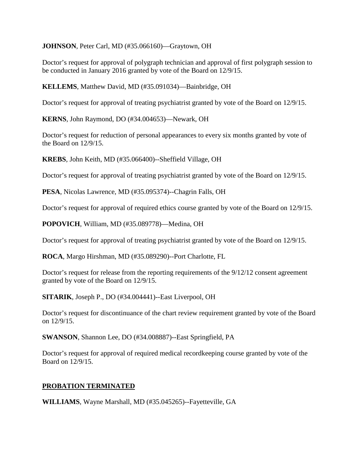**JOHNSON**, Peter Carl, MD (#35.066160)—Graytown, OH

Doctor's request for approval of polygraph technician and approval of first polygraph session to be conducted in January 2016 granted by vote of the Board on 12/9/15.

**KELLEMS**, Matthew David, MD (#35.091034)—Bainbridge, OH

Doctor's request for approval of treating psychiatrist granted by vote of the Board on 12/9/15.

**KERNS**, John Raymond, DO (#34.004653)—Newark, OH

Doctor's request for reduction of personal appearances to every six months granted by vote of the Board on 12/9/15.

**KREBS**, John Keith, MD (#35.066400)--Sheffield Village, OH

Doctor's request for approval of treating psychiatrist granted by vote of the Board on 12/9/15.

**PESA**, Nicolas Lawrence, MD (#35.095374)--Chagrin Falls, OH

Doctor's request for approval of required ethics course granted by vote of the Board on 12/9/15.

**POPOVICH**, William, MD (#35.089778)—Medina, OH

Doctor's request for approval of treating psychiatrist granted by vote of the Board on 12/9/15.

**ROCA**, Margo Hirshman, MD (#35.089290)--Port Charlotte, FL

Doctor's request for release from the reporting requirements of the 9/12/12 consent agreement granted by vote of the Board on 12/9/15.

**SITARIK**, Joseph P., DO (#34.004441)--East Liverpool, OH

Doctor's request for discontinuance of the chart review requirement granted by vote of the Board on 12/9/15.

**SWANSON**, Shannon Lee, DO (#34.008887)--East Springfield, PA

Doctor's request for approval of required medical recordkeeping course granted by vote of the Board on 12/9/15.

## **PROBATION TERMINATED**

**WILLIAMS**, Wayne Marshall, MD (#35.045265)--Fayetteville, GA